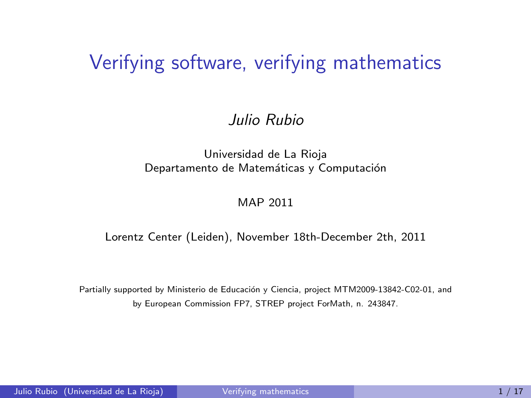#### Verifying software, verifying mathematics

#### Julio Rubio

#### Universidad de La Rioja Departamento de Matemáticas y Computación

#### <span id="page-0-0"></span>MAP 2011

#### Lorentz Center (Leiden), November 18th-December 2th, 2011

Partially supported by Ministerio de Educación y Ciencia, project MTM2009-13842-C02-01, and by European Commission FP7, STREP project ForMath, n. 243847.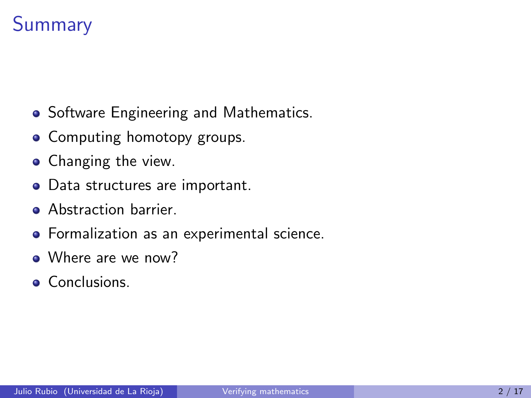### **Summary**

- Software Engineering and Mathematics.
- Computing homotopy groups.
- Changing the view.
- Data structures are important.
- Abstraction barrier.
- Formalization as an experimental science.
- Where are we now?
- **Conclusions.**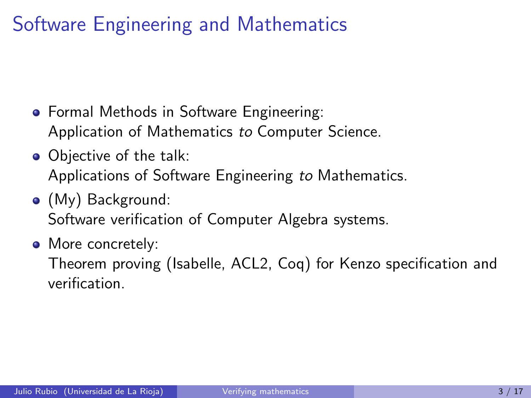### Software Engineering and Mathematics

- **•** Formal Methods in Software Engineering: Application of Mathematics to Computer Science.
- Objective of the talk: Applications of Software Engineering to Mathematics.
- (My) Background: Software verification of Computer Algebra systems.
- More concretely:

Theorem proving (Isabelle, ACL2, Coq) for Kenzo specification and verification.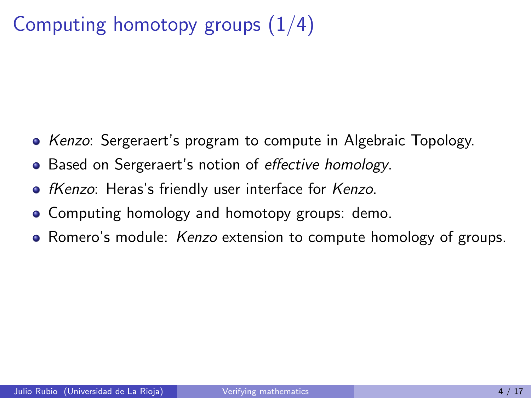## Computing homotopy groups  $(1/4)$

- Kenzo: Sergeraert's program to compute in Algebraic Topology.
- Based on Sergeraert's notion of effective homology.
- *fKenzo*: Heras's friendly user interface for Kenzo.
- Computing homology and homotopy groups: demo.
- Romero's module: *Kenzo* extension to compute homology of groups.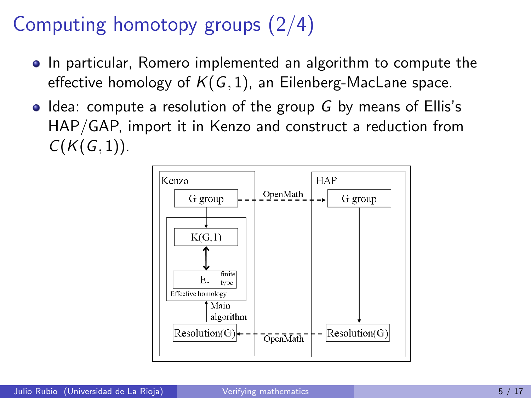# Computing homotopy groups (2/4)

- In particular, Romero implemented an algorithm to compute the effective homology of  $K(G, 1)$ , an Eilenberg-MacLane space.
- $\bullet$  Idea: compute a resolution of the group G by means of Ellis's HAP/GAP, import it in Kenzo and construct a reduction from  $C(K(G, 1)).$

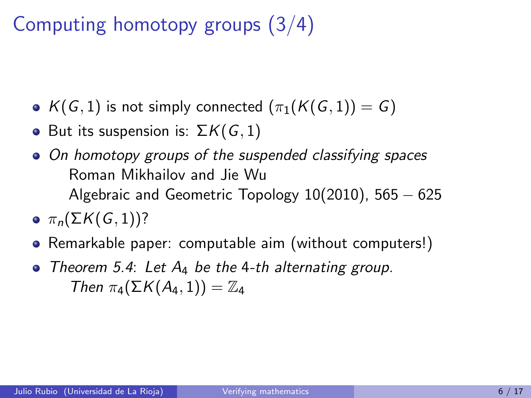# Computing homotopy groups (3/4)

- $K(G, 1)$  is not simply connected  $(\pi_1(K(G, 1)) = G)$
- But its suspension is:  $\Sigma K(G, 1)$
- On homotopy groups of the suspended classifying spaces Roman Mikhailov and Jie Wu Algebraic and Geometric Topology  $10(2010)$ , 565  $-625$
- $\bullet$   $\pi_n(\Sigma K(G, 1))$ ?
- Remarkable paper: computable aim (without computers!)
- $\bullet$  Theorem 5.4: Let  $A_4$  be the 4-th alternating group. Then  $\pi_A(\Sigma K(A_4, 1)) = \mathbb{Z}_4$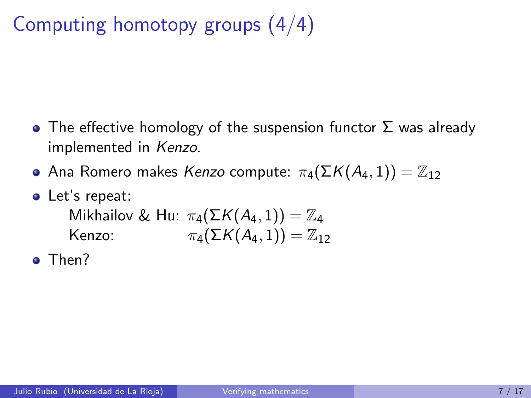# Computing homotopy groups (4/4)

- The effective homology of the suspension functor  $\Sigma$  was already implemented in Kenzo.
- **•** Ana Romero makes Kenzo compute:  $\pi_4(\Sigma K(A_4, 1)) = \mathbb{Z}_{12}$
- Let's repeat: Mikhailov & Hu:  $\pi_4(\Sigma K(A_4, 1)) = \mathbb{Z}_4$ Kenzo:  $\pi_4(\Sigma K(A_4, 1)) = \mathbb{Z}_{12}$
- <sup>o</sup>Then?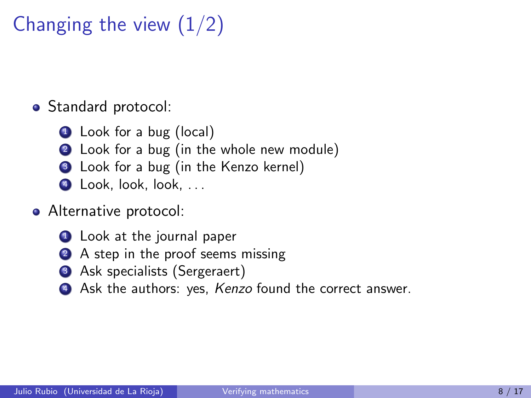Changing the view  $(1/2)$ 

• Standard protocol:

- **1** Look for a bug (local)
- 2 Look for a bug (in the whole new module)
- **3** Look for a bug (in the Kenzo kernel)
- 4 Look, look, look, ...

#### **•** Alternative protocol:

- **1** Look at the journal paper
- 2 A step in the proof seems missing
- **3** Ask specialists (Sergeraert)
- Ask the authors: yes, Kenzo found the correct answer.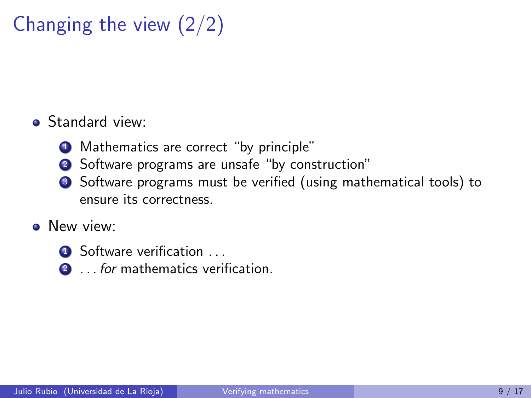# Changing the view (2/2)

#### **•** Standard view:

- **1** Mathematics are correct "by principle"
- 2 Software programs are unsafe "by construction"
- <sup>3</sup> Software programs must be verified (using mathematical tools) to ensure its correctness.

#### **•** New view:

- **4** Software verification ...
- 2 ... for mathematics verification.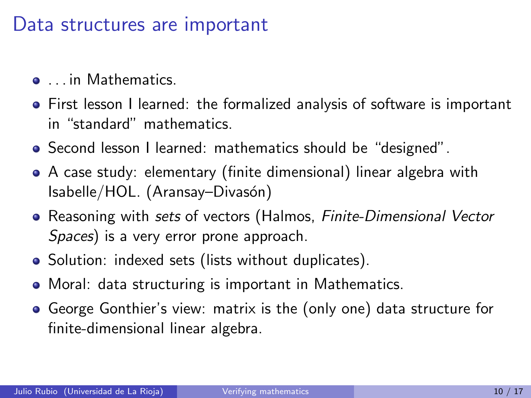#### Data structures are important

- . . . in Mathematics.
- First lesson I learned: the formalized analysis of software is important in "standard" mathematics.
- Second lesson I learned: mathematics should be "designed".
- A case study: elementary (finite dimensional) linear algebra with Isabelle/HOL. (Aransay–Divasón)
- Reasoning with sets of vectors (Halmos, *Finite-Dimensional Vector* Spaces) is a very error prone approach.
- Solution: indexed sets (lists without duplicates).
- Moral: data structuring is important in Mathematics.
- George Gonthier's view: matrix is the (only one) data structure for finite-dimensional linear algebra.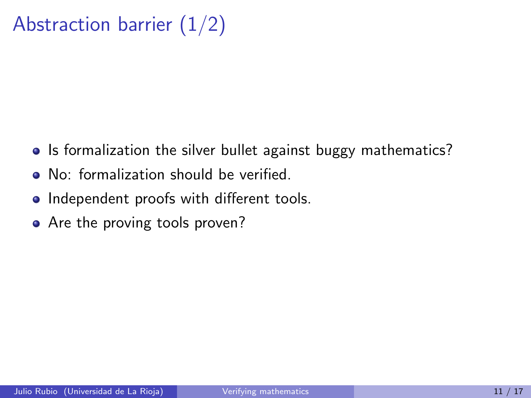# Abstraction barrier  $(1/2)$

- Is formalization the silver bullet against buggy mathematics?
- No: formalization should be verified.
- Independent proofs with different tools.
- Are the proving tools proven?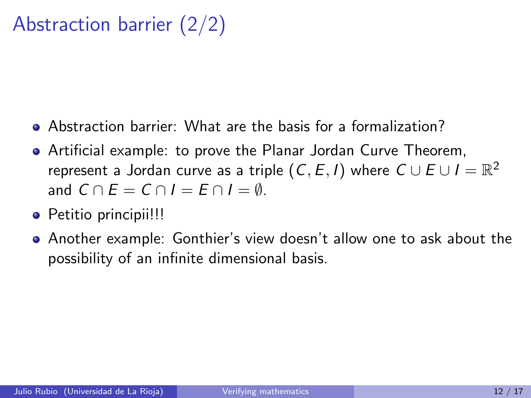## Abstraction barrier (2/2)

- Abstraction barrier: What are the basis for a formalization?
- Artificial example: to prove the Planar Jordan Curve Theorem, represent a Jordan curve as a triple  $(\mathsf{C},\mathsf{E},I)$  where  $\mathsf{C} \cup \mathsf{E} \cup I = \mathbb{R}^2$ and  $C \cap F = C \cap I = F \cap I = \emptyset$ .
- Petitio principii!!!
- Another example: Gonthier's view doesn't allow one to ask about the possibility of an infinite dimensional basis.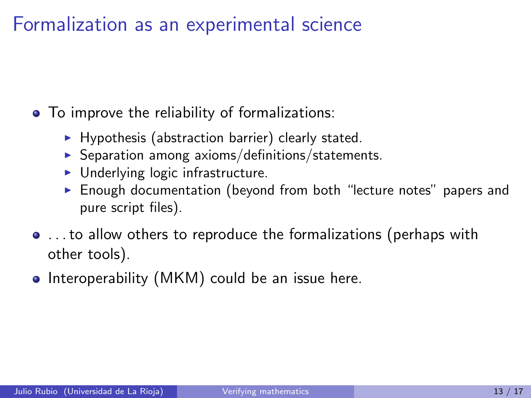#### Formalization as an experimental science

• To improve the reliability of formalizations:

- $\blacktriangleright$  Hypothesis (abstraction barrier) clearly stated.
- $\triangleright$  Separation among axioms/definitions/statements.
- $\blacktriangleright$  Underlying logic infrastructure.
- $\triangleright$  Enough documentation (beyond from both "lecture notes" papers and pure script files).
- . . . to allow others to reproduce the formalizations (perhaps with other tools).
- Interoperability (MKM) could be an issue here.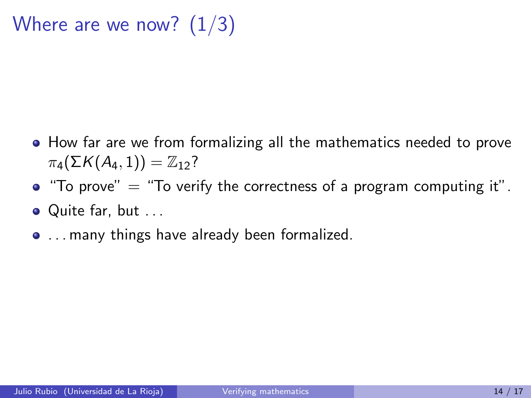Where are we now?  $(1/3)$ 

- How far are we from formalizing all the mathematics needed to prove  $\pi_4(\Sigma K(A_4,1)) = \mathbb{Z}_{12}$ ?
- $\bullet$  "To prove"  $=$  "To verify the correctness of a program computing it".
- Quite far, but ...
- . . . many things have already been formalized.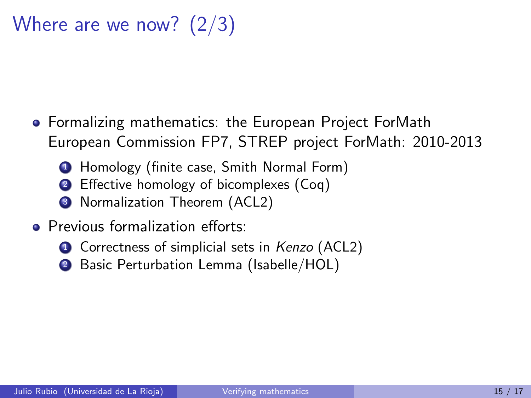# Where are we now? (2/3)

- Formalizing mathematics: the European Project ForMath European Commission FP7, STREP project ForMath: 2010-2013
	- **1** Homology (finite case, Smith Normal Form)
	- 2 Effective homology of bicomplexes (Coq)
	- <sup>3</sup> Normalization Theorem (ACL2)
- **•** Previous formalization efforts:
	- **1** Correctness of simplicial sets in Kenzo (ACL2)
	- 2 Basic Perturbation Lemma (Isabelle/HOL)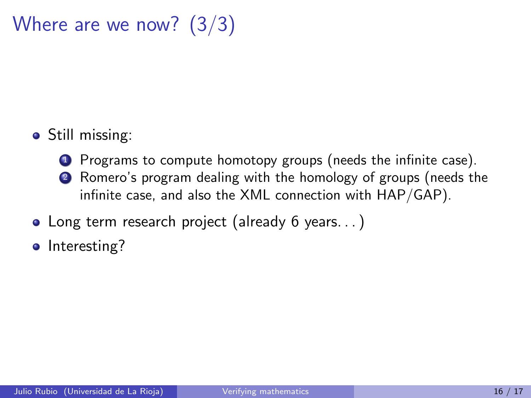### Where are we now? (3/3)

- Still missing:
	- **1** Programs to compute homotopy groups (needs the infinite case).
	- <sup>2</sup> Romero's program dealing with the homology of groups (needs the infinite case, and also the XML connection with HAP/GAP).
- Long term research project (already 6 years...)
- Interesting?